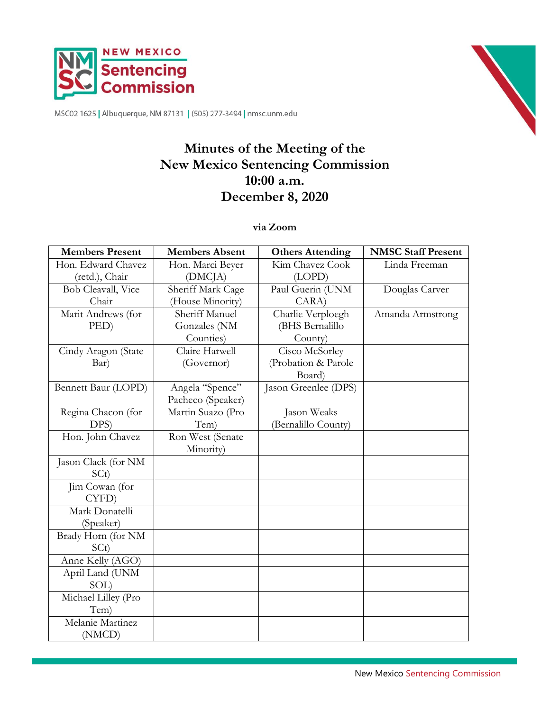



MSC02 1625 | Albuquerque, NM 87131 | (505) 277-3494 | nmsc.unm.edu

# **Minutes of the Meeting of the New Mexico Sentencing Commission 10:00 a.m. December 8, 2020**

**via Zoom**

| <b>Members Present</b> | <b>Members Absent</b> | <b>Others Attending</b> | <b>NMSC Staff Present</b> |
|------------------------|-----------------------|-------------------------|---------------------------|
| Hon. Edward Chavez     | Hon. Marci Beyer      | Kim Chavez Cook         | Linda Freeman             |
| (retd.), Chair         | (DMCJA)               | (LOPD)                  |                           |
| Bob Cleavall, Vice     | Sheriff Mark Cage     | Paul Guerin (UNM        | Douglas Carver            |
| Chair                  | (House Minority)      | CARA                    |                           |
| Marit Andrews (for     | Sheriff Manuel        | Charlie Verploegh       | Amanda Armstrong          |
| PED)                   | Gonzales (NM          | (BHS Bernalillo         |                           |
|                        | Counties)             | County)                 |                           |
| Cindy Aragon (State    | Claire Harwell        | Cisco McSorley          |                           |
| Bar)                   | (Governor)            | (Probation & Parole     |                           |
|                        |                       | Board)                  |                           |
| Bennett Baur (LOPD)    | Angela "Spence"       | Jason Greenlee (DPS)    |                           |
|                        | Pacheco (Speaker)     |                         |                           |
| Regina Chacon (for     | Martin Suazo (Pro     | Jason Weaks             |                           |
| DPS)                   | Tem)                  | (Bernalillo County)     |                           |
| Hon. John Chavez       | Ron West (Senate      |                         |                           |
|                        | Minority)             |                         |                           |
| Jason Clack (for NM    |                       |                         |                           |
| SCt)                   |                       |                         |                           |
| Jim Cowan (for         |                       |                         |                           |
| CYFD)                  |                       |                         |                           |
| Mark Donatelli         |                       |                         |                           |
| (Speaker)              |                       |                         |                           |
| Brady Horn (for NM     |                       |                         |                           |
| SC <sub>t</sub>        |                       |                         |                           |
| Anne Kelly (AGO)       |                       |                         |                           |
| April Land (UNM        |                       |                         |                           |
| SOL)                   |                       |                         |                           |
| Michael Lilley (Pro    |                       |                         |                           |
| Tem)                   |                       |                         |                           |
| Melanie Martinez       |                       |                         |                           |
| (NMCD)                 |                       |                         |                           |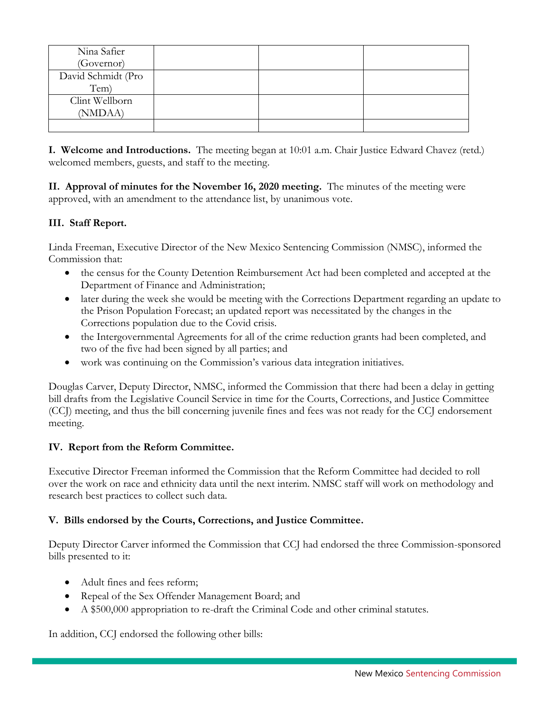| Nina Safier        |  |  |
|--------------------|--|--|
| (Governor)         |  |  |
| David Schmidt (Pro |  |  |
| Tem)               |  |  |
| Clint Wellborn     |  |  |
| (NMDAA)            |  |  |
|                    |  |  |

**I. Welcome and Introductions.** The meeting began at 10:01 a.m. Chair Justice Edward Chavez (retd.) welcomed members, guests, and staff to the meeting.

**II. Approval of minutes for the November 16, 2020 meeting.** The minutes of the meeting were approved, with an amendment to the attendance list, by unanimous vote.

## **III. Staff Report.**

Linda Freeman, Executive Director of the New Mexico Sentencing Commission (NMSC), informed the Commission that:

- the census for the County Detention Reimbursement Act had been completed and accepted at the Department of Finance and Administration;
- later during the week she would be meeting with the Corrections Department regarding an update to the Prison Population Forecast; an updated report was necessitated by the changes in the Corrections population due to the Covid crisis.
- the Intergovernmental Agreements for all of the crime reduction grants had been completed, and two of the five had been signed by all parties; and
- work was continuing on the Commission's various data integration initiatives.

Douglas Carver, Deputy Director, NMSC, informed the Commission that there had been a delay in getting bill drafts from the Legislative Council Service in time for the Courts, Corrections, and Justice Committee (CCJ) meeting, and thus the bill concerning juvenile fines and fees was not ready for the CCJ endorsement meeting.

## **IV. Report from the Reform Committee.**

Executive Director Freeman informed the Commission that the Reform Committee had decided to roll over the work on race and ethnicity data until the next interim. NMSC staff will work on methodology and research best practices to collect such data.

## **V. Bills endorsed by the Courts, Corrections, and Justice Committee.**

Deputy Director Carver informed the Commission that CCJ had endorsed the three Commission-sponsored bills presented to it:

- Adult fines and fees reform;
- Repeal of the Sex Offender Management Board; and
- A \$500,000 appropriation to re-draft the Criminal Code and other criminal statutes.

In addition, CCJ endorsed the following other bills: